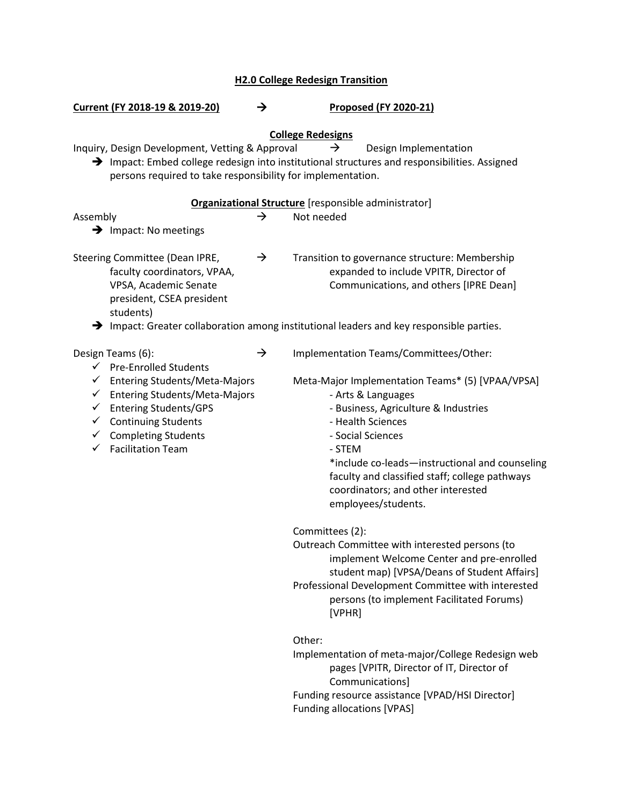| <b>H2.0 College Redesign Transition</b>                                                                                                                                                                                                                                                                    |               |                                                                                                                                                                                                                                                                                                                                                                               |  |  |  |
|------------------------------------------------------------------------------------------------------------------------------------------------------------------------------------------------------------------------------------------------------------------------------------------------------------|---------------|-------------------------------------------------------------------------------------------------------------------------------------------------------------------------------------------------------------------------------------------------------------------------------------------------------------------------------------------------------------------------------|--|--|--|
| Current (FY 2018-19 & 2019-20)                                                                                                                                                                                                                                                                             | $\rightarrow$ | <b>Proposed (FY 2020-21)</b>                                                                                                                                                                                                                                                                                                                                                  |  |  |  |
| Inquiry, Design Development, Vetting & Approval<br>persons required to take responsibility for implementation.                                                                                                                                                                                             |               | <b>College Redesigns</b><br>Design Implementation<br>$\rightarrow$<br>$\rightarrow$ Impact: Embed college redesign into institutional structures and responsibilities. Assigned                                                                                                                                                                                               |  |  |  |
|                                                                                                                                                                                                                                                                                                            |               | Organizational Structure [responsible administrator]                                                                                                                                                                                                                                                                                                                          |  |  |  |
| Assembly<br>$\rightarrow$ Impact: No meetings                                                                                                                                                                                                                                                              | →             | Not needed                                                                                                                                                                                                                                                                                                                                                                    |  |  |  |
| Steering Committee (Dean IPRE,<br>faculty coordinators, VPAA,<br>VPSA, Academic Senate<br>president, CSEA president<br>students)                                                                                                                                                                           | $\rightarrow$ | Transition to governance structure: Membership<br>expanded to include VPITR, Director of<br>Communications, and others [IPRE Dean]<br>$\rightarrow$ Impact: Greater collaboration among institutional leaders and key responsible parties.                                                                                                                                    |  |  |  |
|                                                                                                                                                                                                                                                                                                            |               |                                                                                                                                                                                                                                                                                                                                                                               |  |  |  |
| Design Teams (6):<br>$\checkmark$ Pre-Enrolled Students<br>← Entering Students/Meta-Majors<br><b>Entering Students/Meta-Majors</b><br>✓<br><b>Entering Students/GPS</b><br>✓<br><b>Continuing Students</b><br>$\checkmark$<br>$\checkmark$ Completing Students<br><b>Facilitation Team</b><br>$\checkmark$ | $\rightarrow$ | Implementation Teams/Committees/Other:<br>Meta-Major Implementation Teams* (5) [VPAA/VPSA]<br>- Arts & Languages<br>- Business, Agriculture & Industries<br>- Health Sciences<br>- Social Sciences<br>- STEM<br>*include co-leads-instructional and counseling<br>faculty and classified staff; college pathways<br>coordinators; and other interested<br>employees/students. |  |  |  |
|                                                                                                                                                                                                                                                                                                            |               | Committees (2):<br>Outreach Committee with interested persons (to<br>implement Welcome Center and pre-enrolled<br>student map) [VPSA/Deans of Student Affairs]<br>Professional Development Committee with interested<br>persons (to implement Facilitated Forums)<br>[VPHR]                                                                                                   |  |  |  |
|                                                                                                                                                                                                                                                                                                            |               | Other:<br>Implementation of meta-major/College Redesign web                                                                                                                                                                                                                                                                                                                   |  |  |  |

pages [VPITR, Director of IT, Director of Communications] Funding resource assistance [VPAD/HSI Director] Funding allocations [VPAS]